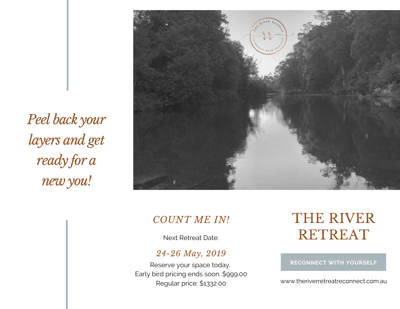*Peel back your layers and get ready for a new you!*



### *COUNT ME IN!*

Next Retreat Date:

### *24-26 May, 2019*

Reserve your space today. Early bird pricing ends soon. \$999.00 Regular price: \$1332.00

# THE RIVER RETREAT

### **RECONNECT WITH YOURSELF**

www.theriverretreatreconnect.com.au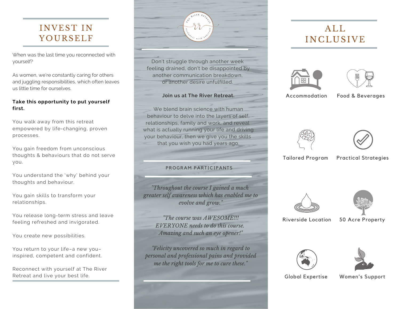## INVEST IN YOURSELF

When was the last time you reconnected with yourself?

As women, we're constantly caring for others and juggling responsibilities, which often leaves us little time for ourselves.

### **Take this opportunity to put yourself first.**

You walk away from this retreat empowered by life-changing, proven processes.

You gain freedom from unconscious thoughts & behaviours that do not serve you.

You understand the 'why' behind your thoughts and behaviour.

You gain skills to transform your relationships.

You release long-term stress and leave feeling refreshed and invigorated.

You create new possibilities.

You return to your life–a new you– inspired, competent and confident.

Reconnect with yourself at The River Retreat and live your best life.

Don't struggle through another week feeling drained, don't be disappointed by another communication breakdown, or another desire unfulfilled.

#### **Join us at The River Retreat.**

We blend brain science with human behaviour to delve into the layers of self, relationships, family and work, and reveal what is actually running your life and driving your behaviour, then we give you the skills that you wish you had years ago.

### PROGRAM PARTICIPANTS

*"Throughout the course I gained a much greater self awareness which has enabled me to evolve and grow."*

> *"The course was AWESOME!!! EVERYONE needs to do this course. Amazing and such an eye opener!"*

*"Felicity uncovered so much in regard to personal and professional pains and provided me the right tools for me to cure these."*

## $AI.I.$ **INCLUSIVE**





Accommodation

Food & Beverages





Tailored Program Practical Strategies





Riverside Location 50 Acre Property





Global Expertise Women's Support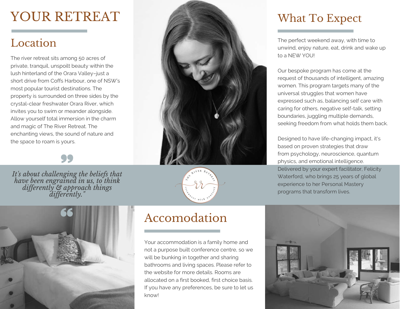# YOUR RETREAT

## Location

The river retreat sits among 50 acres of private, tranquil, unspoilt beauty within the lush hinterland of the Orara Valley–just a short drive from Coffs Harbour, one of NSW's most popular tourist destinations. The property is surrounded on three sides by the crystal-clear freshwater Orara River, which invites you to swim or meander alongside. Allow yourself total immersion in the charm and magic of The River Retreat. The enchanting views, the sound of nature and the space to roam is yours.



*It's about challenging the beliefs that have been engrained in us, to think dif erently & approach things dif erently."*





## Accomodation

Your accommodation is a family home and not a purpose built conference centre, so we will be bunking in together and sharing bathrooms and living spaces. Please refer to the website for more details. Rooms are allocated on a first booked, first choice basis. If you have any preferences, be sure to let us know!

## What To Expect

The perfect weekend away, with time to unwind, enjoy nature, eat, drink and wake up to a NEW YOU!

Our bespoke program has come at the request of thousands of intelligent, amazing women. This program targets many of the universal struggles that women have expressed such as, balancing self care with caring for others, negative self-talk, setting boundaries, juggling multiple demands, seeking freedom from what holds them back.

Designed to have life-changing impact, it's based on proven strategies that draw from psychology, neuroscience, quantum physics, and emotional intelligence. Delivered by your expert facilitator, Felicity Waterford, who brings 25 years of global experience to her Personal Mastery programs that transform lives.

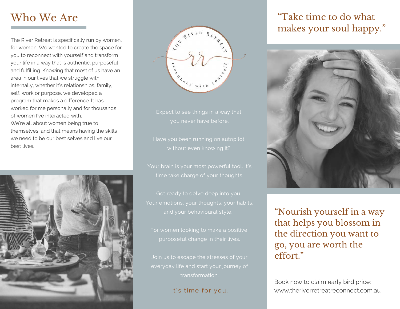## Who We Are

The River Retreat is specifically run by women, for women. We wanted to create the space for you to reconnect with yourself and transform your life in a way that is authentic, purposeful and fulfilling. Knowing that most of us have an area in our lives that we struggle with internally, whether it's relationships, family, self, work or purpose, we developed a program that makes a difference. It has worked for me personally and for thousands of women I've interacted with. We're all about women being true to themselves, and that means having the skills we need to be our best selves and live our best lives.





time take charge of your thoughts.

Get ready to delve deep into you. Your emotions, your thoughts, your habits,

purposeful change in their lives.

Join us to escape the stresses of your transformation.

It's time for you.

## "Take time to do what makes your soul happy."



"Nourish yourself in a way that helps you blossom in the direction you want to go, you are worth the effort."

Book now to claim early bird price: www.theriverretreatreconnect.com.au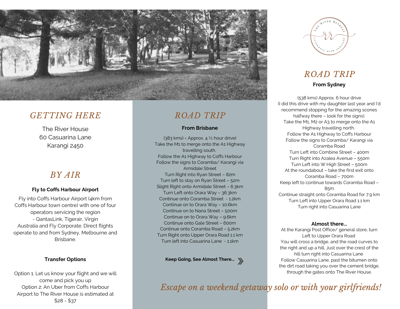

### *GETTING HERE*

The River House 60 Casuarina Lane Karangi 2450

### *BY AIR*

### **Fly to Coffs Harbour Airport**

Fly into Coffs Harbour Airport (4km from Coffs Harbour town centre) with one of four operators servicing the region - QantasLink, Tigerair, Virgin Australia and Fly Corporate. Direct flights operate to and from Sydney, Melbourne and Brisbane.

### **Transfer Options**

Option 1. Let us know your flight and we will come and pick you up Option 2: An Uber from Coffs Harbour Airport to The River House is estimated at \$28 - \$37

## *ROAD TRIP*

#### **From Brisbane**

 $(383 \text{ km})$  = Approx.  $4\frac{1}{2}$  hour drive) Take the M1 to merge onto the A1 Highway travelling south. Follow the A1 Highway to Coffs Harbour Follow the signs to Coramba/ Karangi via Armidale Street Turn Right into Ryan Street – 82m Turn left to stay on Ryan Street – 52m Slight Right onto Armidale Street – 6.3km Turn Left onto Orara Way – 36.3km Continue onto Coramba Street - 1.2km Continue on to Orara Way – 10.6km Continue on to Nana Street – 500m Continue on to Orara Way – 9.6km Continue onto Gale Street – 600m Continue onto Coramba Road – 5.2km Turn Right onto Upper Orara Road 1.1 km Turn left into Casuarina Lane - 1.1km

**Keep Going, See Almost There...**



### *ROAD TRIP* **From Sydney**

(538 kms) Approx. 6 hour drive (I did this drive with my daughter last year and I'd recommend stopping for the amazing scones halfway there – look for the signs). Take the M1, M2 or A3 to merge onto the A1 Highway travelling north. Follow the A1 Highway to Coffs Harbour Follow the signs to Coramba/ Karangi via Coramba Road Turn Left into Combine Street – 400m Turn Right into Azalea Avenue – 550m Turn Left into W High Street – 500m At the roundabout – take the first exit onto Coramba Road – 700m Keep left to continue towards Coramba Road – 85m Continue straight onto Coramba Road for 7.9 km Turn Left into Upper Orara Road 1.1 km Turn right into Casuarina Lane

#### **Almost there...**

At the Karangi Post Office/ general store, turn Left to Upper Orara Road You will cross a bridge, and the road curves to the right and up a hill. Just over the crest of the hill turn right into Casuarina Lane Follow Casuarina Lane, past the bitumen onto the dirt road taking you over the cement bridge, through the gates onto The River House.

*Escape on a weekend getaway solo or with your girlfriends!*